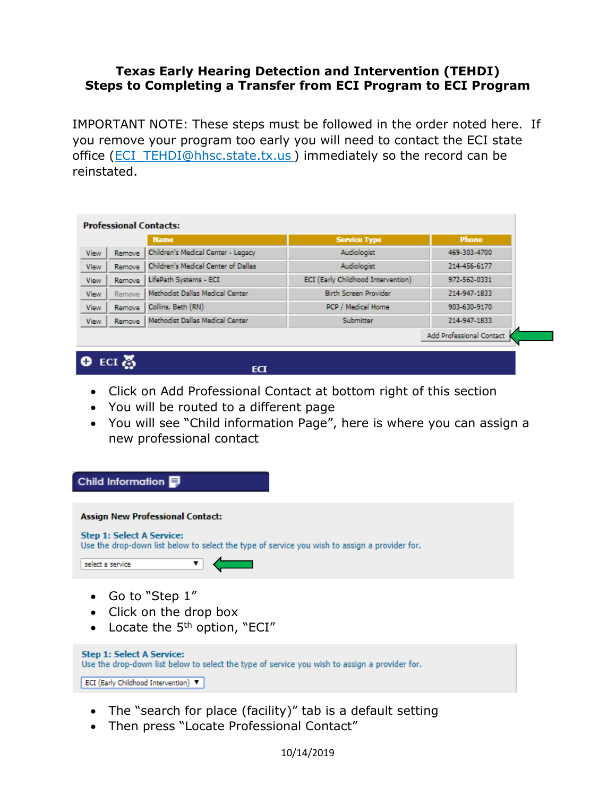## **Texas Early Hearing Detection and Intervention (TEHDI) Steps to Completing a Transfer from ECI Program to ECI Program**

IMPORTANT NOTE: These steps must be followed in the order noted here. If you remove your program too early you will need to contact the ECI state office [\(ECI\\_TEHDI@hhsc.state.tx.us](mailto:ECI_TEHDI@hhsc.state.tx.us) ) immediately so the record can be reinstated.

| <b>Professional Contacts:</b> |               |                                     |                                    |                          |  |  |
|-------------------------------|---------------|-------------------------------------|------------------------------------|--------------------------|--|--|
|                               |               | <b>Name</b>                         | <b>Service Type</b>                | <b>Phone</b>             |  |  |
| <b>View</b>                   | Remove        | Children's Medical Center - Legacy  | Audiologist                        | 469-303-4700             |  |  |
| <b>View</b>                   | <b>Remove</b> | Children's Medical Center of Dallas | Audiologist                        | 214-456-6177             |  |  |
| <b>View</b>                   | Remove        | LifePath Systems - ECI              | ECI (Early Childhood Intervention) | 972-562-0331             |  |  |
| View                          | <b>Remove</b> | Methodist Dallas Medical Center     | <b>Birth Screen Provider</b>       | 214-947-1833             |  |  |
| View                          | <b>Remove</b> | Collins, Beth (RN)                  | PCP / Medical Home                 | 903-630-9170             |  |  |
| <b>View</b>                   | <b>Remove</b> | Methodist Dallas Medical Center     | Submitter                          | 214-947-1833             |  |  |
|                               |               |                                     |                                    | Add Professional Contact |  |  |

## $O$  ECI 蕊

ECT

- Click on Add Professional Contact at bottom right of this section
- You will be routed to a different page
- You will see "Child information Page", here is where you can assign a new professional contact



- The "search for place (facility)" tab is a default setting
- Then press "Locate Professional Contact"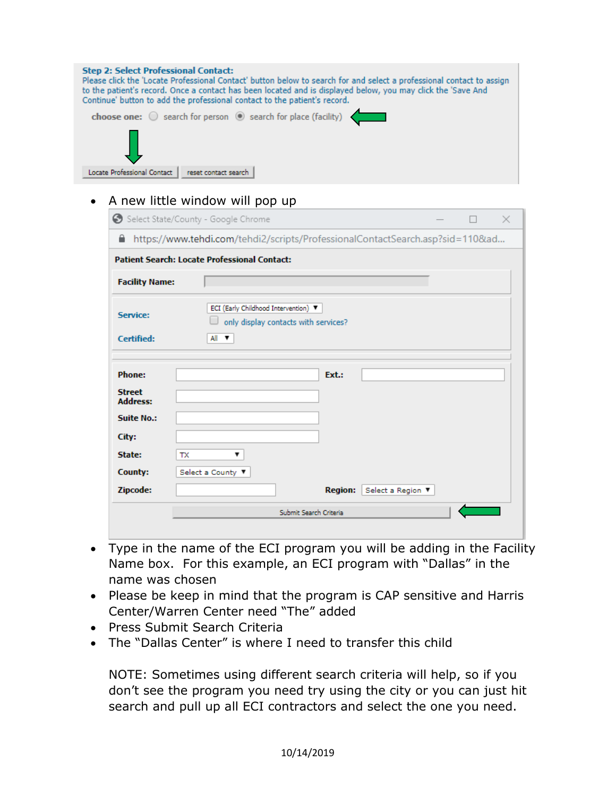| <b>Step 2: Select Professional Contact:</b><br>Please click the 'Locate Professional Contact' button below to search for and select a professional contact to assign<br>to the patient's record. Once a contact has been located and is displayed below, you may click the 'Save And<br>Continue' button to add the professional contact to the patient's record. |
|-------------------------------------------------------------------------------------------------------------------------------------------------------------------------------------------------------------------------------------------------------------------------------------------------------------------------------------------------------------------|
| choose one: $\bigcirc$ search for person $\bigcirc$ search for place (facility)                                                                                                                                                                                                                                                                                   |
|                                                                                                                                                                                                                                                                                                                                                                   |
| Locate Professional Contact<br>reset contact search                                                                                                                                                                                                                                                                                                               |

## • A new little window will pop up

|                                                   | Select State/County - Google Chrome                                                |                   |  | × |
|---------------------------------------------------|------------------------------------------------------------------------------------|-------------------|--|---|
| Θ.                                                | https://www.tehdi.com/tehdi2/scripts/ProfessionalContactSearch.asp?sid=110&ad      |                   |  |   |
|                                                   | <b>Patient Search: Locate Professional Contact:</b>                                |                   |  |   |
| <b>Facility Name:</b>                             |                                                                                    |                   |  |   |
| Service:<br><b>Certified:</b>                     | ECI (Early Childhood Intervention)<br>only display contacts with services?<br>A∥ ▼ |                   |  |   |
| <b>Phone:</b><br><b>Street</b><br><b>Address:</b> | Ext.:                                                                              |                   |  |   |
| <b>Suite No.:</b><br>City:                        |                                                                                    |                   |  |   |
| State:<br>County:<br>Zipcode:                     | <b>TX</b><br>Select a County ▼<br><b>Region:</b>                                   | Select a Region ▼ |  |   |
|                                                   | Submit Search Criteria                                                             |                   |  |   |

- Type in the name of the ECI program you will be adding in the Facility Name box. For this example, an ECI program with "Dallas" in the name was chosen
- Please be keep in mind that the program is CAP sensitive and Harris Center/Warren Center need "The" added
- Press Submit Search Criteria
- The "Dallas Center" is where I need to transfer this child

NOTE: Sometimes using different search criteria will help, so if you don't see the program you need try using the city or you can just hit search and pull up all ECI contractors and select the one you need.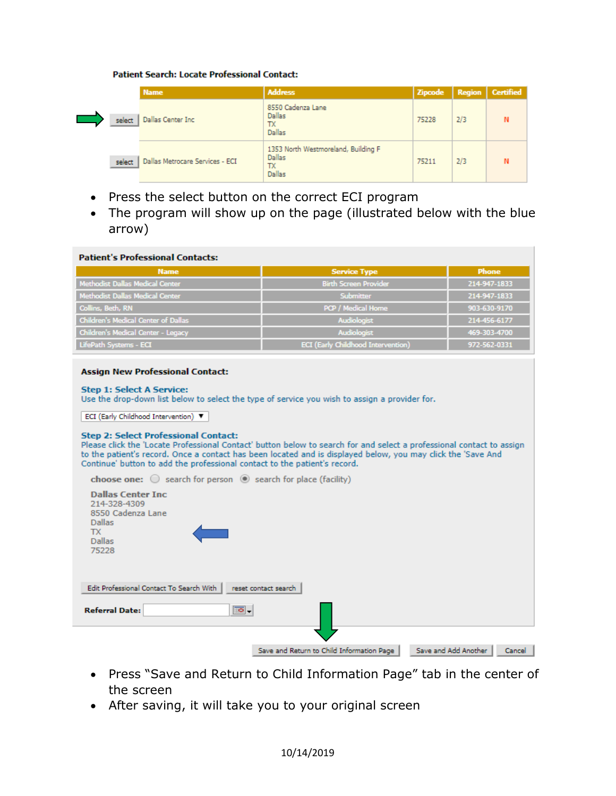## **Patient Search: Locate Professional Contact:**

|        | <b>Name</b>                     | <b>Address</b>                                                       | <b>Zipcode</b> |     | Region   Certified |
|--------|---------------------------------|----------------------------------------------------------------------|----------------|-----|--------------------|
| select | Dallas Center Inc               | 8550 Cadenza Lane<br><b>Dallas</b><br>ТX<br><b>Dallas</b>            | 75228          | 2/3 |                    |
| select | Dallas Metrocare Services - ECI | 1353 North Westmoreland, Building F<br><b>Dallas</b><br>TX<br>Dallas | 75211          | 2/3 |                    |

- Press the select button on the correct ECI program
- The program will show up on the page (illustrated below with the blue arrow)

| <b>Patient's Professional Contacts:</b>                                                                                                                                                                                                                                                                                                                                                                                                                                                                                                                                                                                                                                                                                                                      |                                           |                                |  |  |  |  |
|--------------------------------------------------------------------------------------------------------------------------------------------------------------------------------------------------------------------------------------------------------------------------------------------------------------------------------------------------------------------------------------------------------------------------------------------------------------------------------------------------------------------------------------------------------------------------------------------------------------------------------------------------------------------------------------------------------------------------------------------------------------|-------------------------------------------|--------------------------------|--|--|--|--|
| <b>Name</b>                                                                                                                                                                                                                                                                                                                                                                                                                                                                                                                                                                                                                                                                                                                                                  | <b>Service Type</b>                       | <b>Phone</b>                   |  |  |  |  |
| <b>Methodist Dallas Medical Center</b>                                                                                                                                                                                                                                                                                                                                                                                                                                                                                                                                                                                                                                                                                                                       | <b>Birth Screen Provider</b>              | 214-947-1833                   |  |  |  |  |
| Methodist Dallas Medical Center                                                                                                                                                                                                                                                                                                                                                                                                                                                                                                                                                                                                                                                                                                                              | Submitter                                 | 214-947-1833                   |  |  |  |  |
| Collins, Beth, RN                                                                                                                                                                                                                                                                                                                                                                                                                                                                                                                                                                                                                                                                                                                                            | PCP / Medical Home                        | 903-630-9170                   |  |  |  |  |
| <b>Children's Medical Center of Dallas</b>                                                                                                                                                                                                                                                                                                                                                                                                                                                                                                                                                                                                                                                                                                                   | <b>Audiologist</b>                        | 214-456-6177                   |  |  |  |  |
| Children's Medical Center - Legacy                                                                                                                                                                                                                                                                                                                                                                                                                                                                                                                                                                                                                                                                                                                           | <b>Audiologist</b>                        | 469-303-4700                   |  |  |  |  |
| LifePath Systems - ECI                                                                                                                                                                                                                                                                                                                                                                                                                                                                                                                                                                                                                                                                                                                                       | <b>ECI</b> (Early Childhood Intervention) | 972-562-0331                   |  |  |  |  |
| <b>Step 1: Select A Service:</b><br>Use the drop-down list below to select the type of service you wish to assign a provider for.<br>ECI (Early Childhood Intervention) ▼<br><b>Step 2: Select Professional Contact:</b><br>Please click the 'Locate Professional Contact' button below to search for and select a professional contact to assign<br>to the patient's record. Once a contact has been located and is displayed below, you may click the 'Save And<br>Continue' button to add the professional contact to the patient's record.<br><b>choose one:</b> $\bigcirc$ search for person $\bigcirc$ search for place (facility)<br><b>Dallas Center Inc.</b><br>214-328-4309<br>8550 Cadenza Lane<br><b>Dallas</b><br>TX.<br><b>Dallas</b><br>75228 |                                           |                                |  |  |  |  |
| Edit Professional Contact To Search With<br>$\overline{\bullet}$ .<br><b>Referral Date:</b>                                                                                                                                                                                                                                                                                                                                                                                                                                                                                                                                                                                                                                                                  | reset contact search                      |                                |  |  |  |  |
|                                                                                                                                                                                                                                                                                                                                                                                                                                                                                                                                                                                                                                                                                                                                                              | Save and Return to Child Information Page | Save and Add Another<br>Cancel |  |  |  |  |

- Press "Save and Return to Child Information Page" tab in the center of the screen
- After saving, it will take you to your original screen